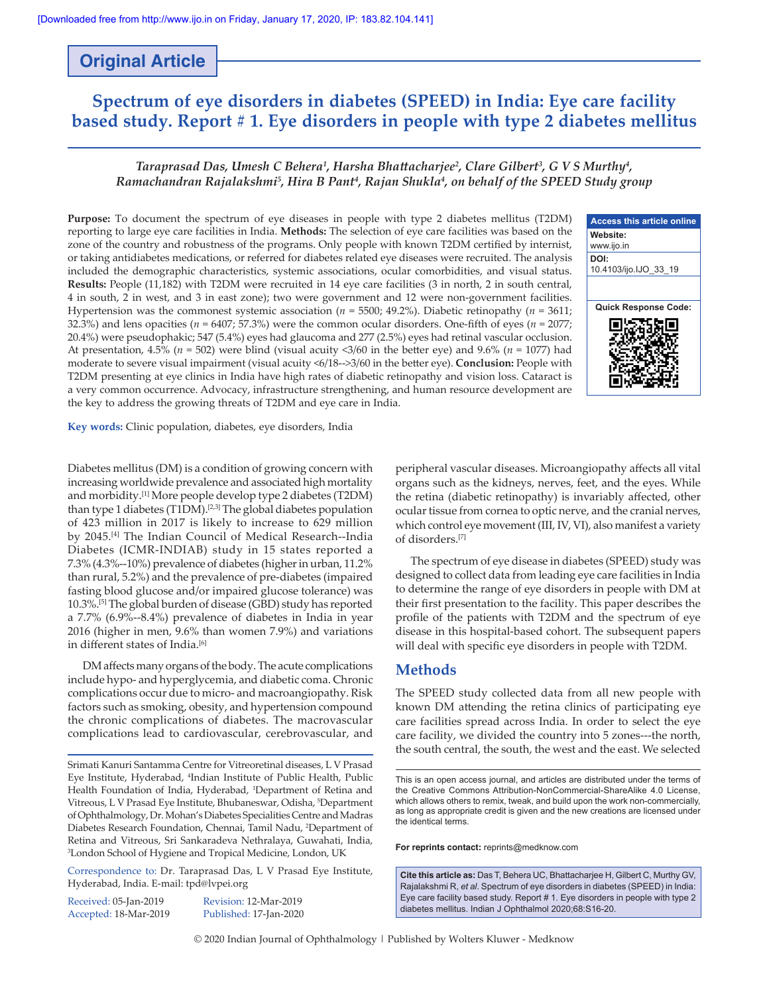# **Original Article**

# **Spectrum of eye disorders in diabetes (SPEED) in India: Eye care facility based study. Report # 1. Eye disorders in people with type 2 diabetes mellitus**

# *Taraprasad Das, Umesh C Behera1 , Harsha Bhattacharjee<sup>2</sup> , Clare Gilbert3 , G V S Murthy4 , Ramachandran Rajalakshmi5 , Hira B Pant4 , Rajan Shukla4 , on behalf of the SPEED Study group*

**Purpose:** To document the spectrum of eye diseases in people with type 2 diabetes mellitus (T2DM) reporting to large eye care facilities in India. **Methods:** The selection of eye care facilities was based on the zone of the country and robustness of the programs. Only people with known T2DM certified by internist, or taking antidiabetes medications, or referred for diabetes related eye diseases were recruited. The analysis included the demographic characteristics, systemic associations, ocular comorbidities, and visual status. **Results:** People (11,182) with T2DM were recruited in 14 eye care facilities (3 in north, 2 in south central, 4 in south, 2 in west, and 3 in east zone); two were government and 12 were non‑government facilities. Hypertension was the commonest systemic association (*n* = 5500; 49.2%). Diabetic retinopathy (*n* = 3611; 32.3%) and lens opacities ( $n = 6407$ ; 57.3%) were the common ocular disorders. One-fifth of eyes ( $n = 2077$ ; 20.4%) were pseudophakic; 547 (5.4%) eyes had glaucoma and 277 (2.5%) eyes had retinal vascular occlusion. At presentation, 4.5% (*n* = 502) were blind (visual acuity <3/60 in the better eye) and 9.6% (*n* = 1077) had moderate to severe visual impairment (visual acuity <6/18‑‑>3/60 in the better eye). **Conclusion:** People with T2DM presenting at eye clinics in India have high rates of diabetic retinopathy and vision loss. Cataract is a very common occurrence. Advocacy, infrastructure strengthening, and human resource development are the key to address the growing threats of T2DM and eye care in India.

**Access this article online Website:** www.ijo.in **DOI:** 10.4103/ijo.IJO\_33\_19 **Quick Response Code:**

**Key words:** Clinic population, diabetes, eye disorders, India

Diabetes mellitus (DM) is a condition of growing concern with increasing worldwide prevalence and associated high mortality and morbidity.[1] More people develop type 2 diabetes (T2DM) than type 1 diabetes (T1DM).[2,3] The global diabetes population of 423 million in 2017 is likely to increase to 629 million by 2045.<sup>[4]</sup> The Indian Council of Medical Research--India Diabetes (ICMR‑INDIAB) study in 15 states reported a 7.3% (4.3%‑‑10%) prevalence of diabetes (higher in urban, 11.2% than rural, 5.2%) and the prevalence of pre‑diabetes (impaired fasting blood glucose and/or impaired glucose tolerance) was 10.3%.[5] The global burden of disease (GBD) study has reported a 7.7% (6.9%‑‑8.4%) prevalence of diabetes in India in year 2016 (higher in men, 9.6% than women 7.9%) and variations in different states of India.<sup>[6]</sup>

DM affects many organs of the body. The acute complications include hypo‑ and hyperglycemia, and diabetic coma. Chronic complications occur due to micro‑ and macroangiopathy. Risk factors such as smoking, obesity, and hypertension compound the chronic complications of diabetes. The macrovascular complications lead to cardiovascular, cerebrovascular, and

Srimati Kanuri Santamma Centre for Vitreoretinal diseases, L V Prasad Eye Institute, Hyderabad, 4 Indian Institute of Public Health, Public Health Foundation of India, Hyderabad, <sup>1</sup>Department of Retina and Vitreous, L V Prasad Eye Institute, Bhubaneswar, Odisha, <sup>5</sup>Department of Ophthalmology, Dr. Mohan's Diabetes Specialities Centre and Madras Diabetes Research Foundation, Chennai, Tamil Nadu, 2 Department of Retina and Vitreous, Sri Sankaradeva Nethralaya, Guwahati, India, 3 London School of Hygiene and Tropical Medicine, London, UK

Correspondence to: Dr. Taraprasad Das, L V Prasad Eye Institute, Hyderabad, India. E‑mail: tpd@lvpei.org

Received: 05-Jan-2019 Revision: 12-Mar-2019

Accepted: 18-Mar-2019 Published: 17-Jan-2020

peripheral vascular diseases. Microangiopathy affects all vital organs such as the kidneys, nerves, feet, and the eyes. While the retina (diabetic retinopathy) is invariably affected, other ocular tissue from cornea to optic nerve, and the cranial nerves, which control eye movement (III, IV, VI), also manifest a variety of disorders.[7]

The spectrum of eye disease in diabetes (SPEED) study was designed to collect data from leading eye care facilities in India to determine the range of eye disorders in people with DM at their first presentation to the facility. This paper describes the profile of the patients with T2DM and the spectrum of eye disease in this hospital‑based cohort. The subsequent papers will deal with specific eye disorders in people with T2DM.

# **Methods**

The SPEED study collected data from all new people with known DM attending the retina clinics of participating eye care facilities spread across India. In order to select the eye care facility, we divided the country into 5 zones—the north, the south central, the south, the west and the east. We selected

**For reprints contact:** reprints@medknow.com

**Cite this article as:** Das T, Behera UC, Bhattacharjee H, Gilbert C, Murthy GV, Rajalakshmi R, *et al*. Spectrum of eye disorders in diabetes (SPEED) in India: Eye care facility based study. Report # 1. Eye disorders in people with type 2 diabetes mellitus. Indian J Ophthalmol 2020;68:S16-20.

© 2020 Indian Journal of Ophthalmology | Published by Wolters Kluwer - Medknow

This is an open access journal, and articles are distributed under the terms of the Creative Commons Attribution‑NonCommercial‑ShareAlike 4.0 License, which allows others to remix, tweak, and build upon the work non-commercially, as long as appropriate credit is given and the new creations are licensed under the identical terms.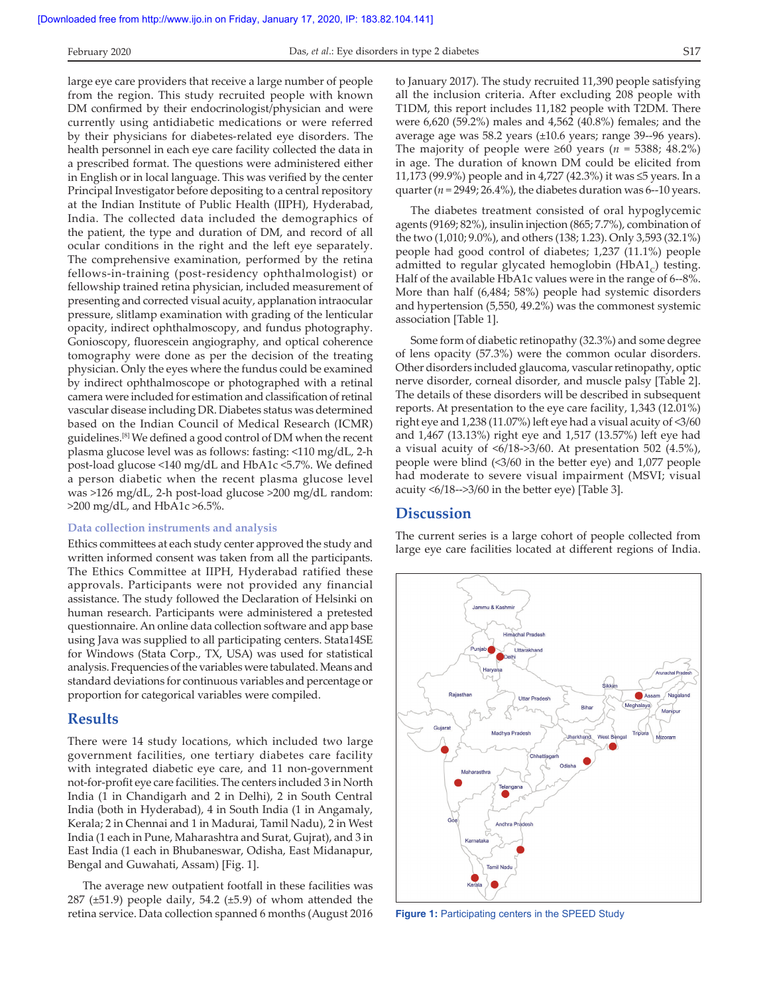large eye care providers that receive a large number of people from the region. This study recruited people with known DM confirmed by their endocrinologist/physician and were currently using antidiabetic medications or were referred by their physicians for diabetes‑related eye disorders. The health personnel in each eye care facility collected the data in a prescribed format. The questions were administered either in English or in local language. This was verified by the center Principal Investigator before depositing to a central repository at the Indian Institute of Public Health (IIPH), Hyderabad, India. The collected data included the demographics of the patient, the type and duration of DM, and record of all ocular conditions in the right and the left eye separately. The comprehensive examination, performed by the retina fellows‑in‑training (post‑residency ophthalmologist) or fellowship trained retina physician, included measurement of presenting and corrected visual acuity, applanation intraocular pressure, slitlamp examination with grading of the lenticular opacity, indirect ophthalmoscopy, and fundus photography. Gonioscopy, fluorescein angiography, and optical coherence tomography were done as per the decision of the treating physician. Only the eyes where the fundus could be examined by indirect ophthalmoscope or photographed with a retinal camera were included for estimation and classification of retinal vascular disease including DR. Diabetes status was determined based on the Indian Council of Medical Research (ICMR) guidelines.[8] We defined a good control of DM when the recent plasma glucose level was as follows: fasting: <110 mg/dL, 2‑h post‑load glucose <140 mg/dL and HbA1c <5.7%. We defined a person diabetic when the recent plasma glucose level

### **Data collection instruments and analysis**

 $>200$  mg/dL, and HbA1c  $>6.5\%$ .

Ethics committees at each study center approved the study and written informed consent was taken from all the participants. The Ethics Committee at IIPH, Hyderabad ratified these approvals. Participants were not provided any financial assistance. The study followed the Declaration of Helsinki on human research. Participants were administered a pretested questionnaire. An online data collection software and app base using Java was supplied to all participating centers. Stata14SE for Windows (Stata Corp., TX, USA) was used for statistical analysis. Frequencies of the variables were tabulated. Means and standard deviations for continuous variables and percentage or proportion for categorical variables were compiled.

was >126 mg/dL, 2-h post-load glucose >200 mg/dL random:

### **Results**

There were 14 study locations, which included two large government facilities, one tertiary diabetes care facility with integrated diabetic eye care, and 11 non-government not‑for‑profit eye care facilities. The centers included 3 in North India (1 in Chandigarh and 2 in Delhi), 2 in South Central India (both in Hyderabad), 4 in South India (1 in Angamaly, Kerala; 2 in Chennai and 1 in Madurai, Tamil Nadu), 2 in West India (1 each in Pune, Maharashtra and Surat, Gujrat), and 3 in East India (1 each in Bhubaneswar, Odisha, East Midanapur, Bengal and Guwahati, Assam) [Fig. 1].

The average new outpatient footfall in these facilities was 287 ( $\pm$ 51.9) people daily, 54.2 ( $\pm$ 5.9) of whom attended the retina service. Data collection spanned 6 months (August 2016 to January 2017). The study recruited 11,390 people satisfying all the inclusion criteria. After excluding 208 people with T1DM, this report includes 11,182 people with T2DM. There were 6,620 (59.2%) males and 4,562 (40.8%) females; and the average age was 58.2 years (±10.6 years; range 39‑‑96 years). The majority of people were  $\geq 60$  years ( $n = 5388$ ; 48.2%) in age. The duration of known DM could be elicited from 11,173 (99.9%) people and in 4,727 (42.3%) it was ≤5 years. In a quarter ( $n = 2949$ ; 26.4%), the diabetes duration was 6--10 years.

The diabetes treatment consisted of oral hypoglycemic agents (9169; 82%), insulin injection (865; 7.7%), combination of the two (1,010; 9.0%), and others (138; 1.23). Only 3,593 (32.1%) people had good control of diabetes; 1,237 (11.1%) people admitted to regular glycated hemoglobin (HbA1 $<sub>c</sub>$ ) testing.</sub> Half of the available HbA1c values were in the range of 6--8%. More than half (6,484; 58%) people had systemic disorders and hypertension (5,550, 49.2%) was the commonest systemic association [Table 1].

Some form of diabetic retinopathy (32.3%) and some degree of lens opacity (57.3%) were the common ocular disorders. Other disorders included glaucoma, vascular retinopathy, optic nerve disorder, corneal disorder, and muscle palsy [Table 2]. The details of these disorders will be described in subsequent reports. At presentation to the eye care facility, 1,343 (12.01%) right eye and 1,238 (11.07%) left eye had a visual acuity of <3/60 and 1,467 (13.13%) right eye and 1,517 (13.57%) left eye had a visual acuity of <6/18‑>3/60. At presentation 502 (4.5%), people were blind (<3/60 in the better eye) and 1,077 people had moderate to severe visual impairment (MSVI; visual acuity <6/18‑‑>3/60 in the better eye) [Table 3].

### **Discussion**

The current series is a large cohort of people collected from large eye care facilities located at different regions of India.



**Figure 1:** Participating centers in the SPEED Study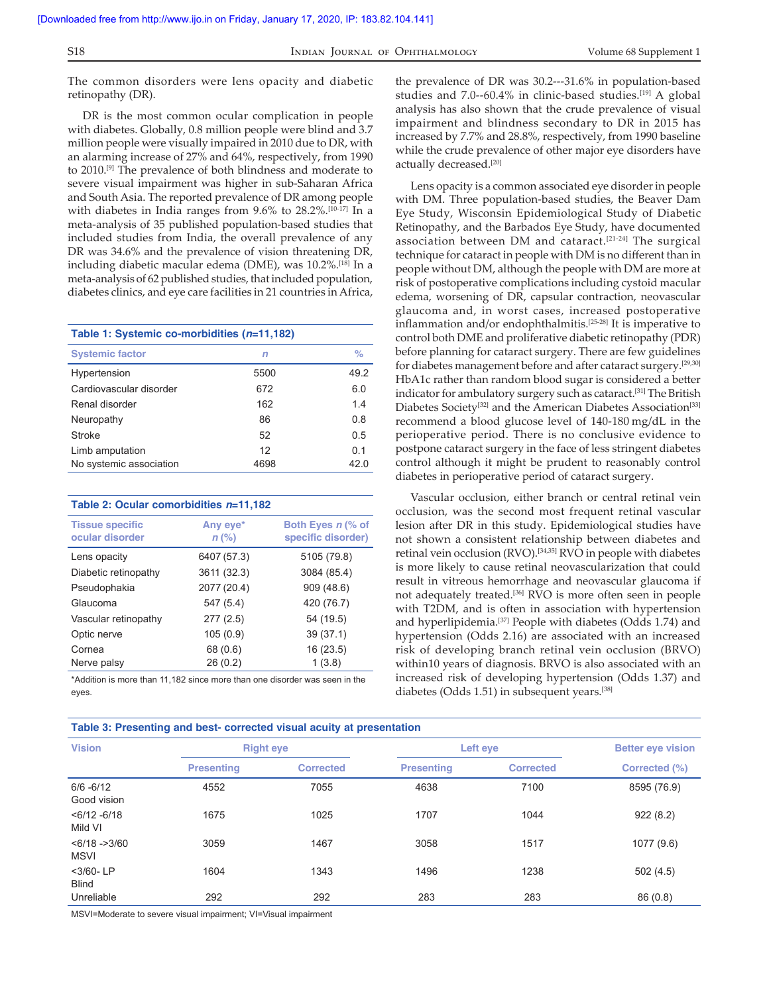The common disorders were lens opacity and diabetic retinopathy (DR).

DR is the most common ocular complication in people with diabetes. Globally, 0.8 million people were blind and 3.7 million people were visually impaired in 2010 due to DR, with an alarming increase of 27% and 64%, respectively, from 1990 to 2010.[9] The prevalence of both blindness and moderate to severe visual impairment was higher in sub‑Saharan Africa and South Asia. The reported prevalence of DR among people with diabetes in India ranges from 9.6% to 28.2%.<sup>[10-17]</sup> In a meta-analysis of 35 published population-based studies that included studies from India, the overall prevalence of any DR was 34.6% and the prevalence of vision threatening DR, including diabetic macular edema (DME), was 10.2%.[18] In a meta‑analysis of 62 published studies, that included population, diabetes clinics, and eye care facilities in 21 countries in Africa,

| Table 1: Systemic co-morbidities (n=11,182) |      |                |  |  |  |
|---------------------------------------------|------|----------------|--|--|--|
| <b>Systemic factor</b>                      | n    | $\%$           |  |  |  |
| Hypertension                                | 5500 | 49.2           |  |  |  |
| Cardiovascular disorder                     | 672  | 6.0            |  |  |  |
| Renal disorder                              | 162  | 14             |  |  |  |
| Neuropathy                                  | 86   | 0.8            |  |  |  |
| <b>Stroke</b>                               | 52   | 0.5            |  |  |  |
| Limb amputation                             | 12   | 0 <sub>1</sub> |  |  |  |
| No systemic association                     | 4698 | 42.0           |  |  |  |

#### **Table 2: Ocular comorbidities** *n***=11,182**

| <b>Tissue specific</b><br>ocular disorder | Any eye*<br>$n$ (%) | Both Eyes n (% of<br>specific disorder) |  |
|-------------------------------------------|---------------------|-----------------------------------------|--|
| Lens opacity                              | 6407 (57.3)         | 5105 (79.8)                             |  |
| Diabetic retinopathy                      | 3611 (32.3)         | 3084 (85.4)                             |  |
| Pseudophakia                              | 2077 (20.4)         | 909 (48.6)                              |  |
| Glaucoma                                  | 547 (5.4)           | 420 (76.7)                              |  |
| Vascular retinopathy                      | 277(2.5)            | 54 (19.5)                               |  |
| Optic nerve                               | 105(0.9)            | 39(37.1)                                |  |
| Cornea                                    | 68 (0.6)            | 16(23.5)                                |  |
| Nerve palsy                               | 26(0.2)             | 1(3.8)                                  |  |

\*Addition is more than 11,182 since more than one disorder was seen in the eyes.

the prevalence of DR was 30.2---31.6% in population-based studies and 7.0--60.4% in clinic-based studies.<sup>[19]</sup> A global analysis has also shown that the crude prevalence of visual impairment and blindness secondary to DR in 2015 has increased by 7.7% and 28.8%, respectively, from 1990 baseline while the crude prevalence of other major eye disorders have actually decreased.[20]

Lens opacity is a common associated eye disorder in people with DM. Three population-based studies, the Beaver Dam Eye Study, Wisconsin Epidemiological Study of Diabetic Retinopathy, and the Barbados Eye Study, have documented association between DM and cataract.[21‑24] The surgical technique for cataract in people with DM is no different than in people without DM, although the people with DM are more at risk of postoperative complications including cystoid macular edema, worsening of DR, capsular contraction, neovascular glaucoma and, in worst cases, increased postoperative inflammation and/or endophthalmitis.[25‑28] It is imperative to control both DME and proliferative diabetic retinopathy (PDR) before planning for cataract surgery. There are few guidelines for diabetes management before and after cataract surgery.[29,30] HbA1c rather than random blood sugar is considered a better indicator for ambulatory surgery such as cataract.<sup>[31]</sup> The British Diabetes Society<sup>[32]</sup> and the American Diabetes Association<sup>[33]</sup> recommend a blood glucose level of 140‑180 mg/dL in the perioperative period. There is no conclusive evidence to postpone cataract surgery in the face of less stringent diabetes control although it might be prudent to reasonably control diabetes in perioperative period of cataract surgery.

Vascular occlusion, either branch or central retinal vein occlusion, was the second most frequent retinal vascular lesion after DR in this study. Epidemiological studies have not shown a consistent relationship between diabetes and retinal vein occlusion (RVO).[34,35] RVO in people with diabetes is more likely to cause retinal neovascularization that could result in vitreous hemorrhage and neovascular glaucoma if not adequately treated.[36] RVO is more often seen in people with T2DM, and is often in association with hypertension and hyperlipidemia.[37] People with diabetes (Odds 1.74) and hypertension (Odds 2.16) are associated with an increased risk of developing branch retinal vein occlusion (BRVO) within10 years of diagnosis. BRVO is also associated with an increased risk of developing hypertension (Odds 1.37) and diabetes (Odds 1.51) in subsequent years.[38]

| Table 3: Presenting and best- corrected visual acuity at presentation |                   |                  |                   |                  |                          |  |  |
|-----------------------------------------------------------------------|-------------------|------------------|-------------------|------------------|--------------------------|--|--|
| <b>Vision</b>                                                         | <b>Right eye</b>  |                  | Left eye          |                  | <b>Better eve vision</b> |  |  |
|                                                                       | <b>Presenting</b> | <b>Corrected</b> | <b>Presenting</b> | <b>Corrected</b> | Corrected (%)            |  |  |
| $6/6 - 6/12$<br>Good vision                                           | 4552              | 7055             | 4638              | 7100             | 8595 (76.9)              |  |  |
| $<$ 6/12 - 6/18<br>Mild VI                                            | 1675              | 1025             | 1707              | 1044             | 922(8.2)                 |  |  |
| $< 6/18 - > 3/60$<br><b>MSVI</b>                                      | 3059              | 1467             | 3058              | 1517             | 1077 (9.6)               |  |  |
| $<$ 3/60-LP<br><b>Blind</b>                                           | 1604              | 1343             | 1496              | 1238             | 502(4.5)                 |  |  |
| Unreliable                                                            | 292               | 292              | 283               | 283              | 86(0.8)                  |  |  |

MSVI=Moderate to severe visual impairment; VI=Visual impairment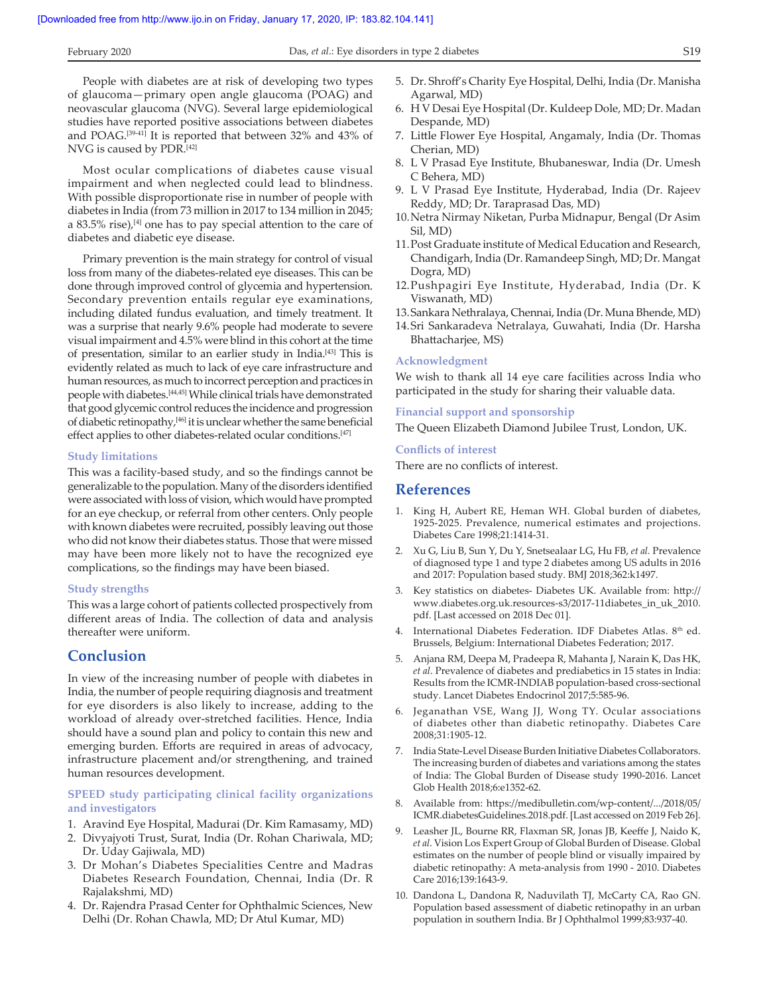People with diabetes are at risk of developing two types of glaucoma—primary open angle glaucoma (POAG) and neovascular glaucoma (NVG). Several large epidemiological studies have reported positive associations between diabetes and POAG.[39‑41] It is reported that between 32% and 43% of NVG is caused by PDR.[42]

Most ocular complications of diabetes cause visual impairment and when neglected could lead to blindness. With possible disproportionate rise in number of people with diabetes in India (from 73 million in 2017 to 134 million in 2045; a 83.5% rise), $[4]$  one has to pay special attention to the care of diabetes and diabetic eye disease.

Primary prevention is the main strategy for control of visual loss from many of the diabetes-related eye diseases. This can be done through improved control of glycemia and hypertension. Secondary prevention entails regular eye examinations, including dilated fundus evaluation, and timely treatment. It was a surprise that nearly 9.6% people had moderate to severe visual impairment and 4.5% were blind in this cohort at the time of presentation, similar to an earlier study in India.[43] This is evidently related as much to lack of eye care infrastructure and human resources, as much to incorrect perception and practices in people with diabetes.[44,45] While clinical trials have demonstrated that good glycemic control reduces the incidence and progression of diabetic retinopathy,[46] it is unclear whether the same beneficial effect applies to other diabetes-related ocular conditions.<sup>[47]</sup>

#### **Study limitations**

This was a facility‑based study, and so the findings cannot be generalizable to the population. Many of the disorders identified were associated with loss of vision, which would have prompted for an eye checkup, or referral from other centers. Only people with known diabetes were recruited, possibly leaving out those who did not know their diabetes status. Those that were missed may have been more likely not to have the recognized eye complications, so the findings may have been biased.

#### **Study strengths**

This was a large cohort of patients collected prospectively from different areas of India. The collection of data and analysis thereafter were uniform.

## **Conclusion**

In view of the increasing number of people with diabetes in India, the number of people requiring diagnosis and treatment for eye disorders is also likely to increase, adding to the workload of already over‑stretched facilities. Hence, India should have a sound plan and policy to contain this new and emerging burden. Efforts are required in areas of advocacy, infrastructure placement and/or strengthening, and trained human resources development.

### **SPEED study participating clinical facility organizations and investigators**

- 1. Aravind Eye Hospital, Madurai (Dr. Kim Ramasamy, MD)
- 2. Divyajyoti Trust, Surat, India (Dr. Rohan Chariwala, MD; Dr. Uday Gajiwala, MD)
- 3. Dr Mohan's Diabetes Specialities Centre and Madras Diabetes Research Foundation, Chennai, India (Dr. R Rajalakshmi, MD)
- 4. Dr. Rajendra Prasad Center for Ophthalmic Sciences, New Delhi (Dr. Rohan Chawla, MD; Dr Atul Kumar, MD)
- 5. Dr. Shroff's Charity Eye Hospital, Delhi, India (Dr. Manisha Agarwal, MD)
- 6. H V Desai Eye Hospital (Dr. Kuldeep Dole, MD; Dr. Madan Despande, MD)
- 7. Little Flower Eye Hospital, Angamaly, India (Dr. Thomas Cherian, MD)
- 8. L V Prasad Eye Institute, Bhubaneswar, India (Dr. Umesh C Behera, MD)
- 9. L V Prasad Eye Institute, Hyderabad, India (Dr. Rajeev Reddy, MD; Dr. Taraprasad Das, MD)
- 10.Netra Nirmay Niketan, Purba Midnapur, Bengal (Dr Asim Sil, MD)
- 11.Post Graduate institute of Medical Education and Research, Chandigarh, India (Dr. Ramandeep Singh, MD; Dr. Mangat Dogra, MD)
- 12.Pushpagiri Eye Institute, Hyderabad, India (Dr. K Viswanath, MD)
- 13.Sankara Nethralaya, Chennai, India (Dr. Muna Bhende, MD)
- 14.Sri Sankaradeva Netralaya, Guwahati, India (Dr. Harsha Bhattacharjee, MS)

#### **Acknowledgment**

We wish to thank all 14 eye care facilities across India who participated in the study for sharing their valuable data.

#### **Financial support and sponsorship**

The Queen Elizabeth Diamond Jubilee Trust, London, UK.

#### **Conflicts of interest**

There are no conflicts of interest.

## **References**

- 1. King H, Aubert RE, Heman WH. Global burden of diabetes, 1925‑2025. Prevalence, numerical estimates and projections. Diabetes Care 1998;21:1414‑31.
- 2. Xu G, Liu B, Sun Y, Du Y, Snetsealaar LG, Hu FB, *et al.* Prevalence of diagnosed type 1 and type 2 diabetes among US adults in 2016 and 2017: Population based study. BMJ 2018;362:k1497.
- 3. Key statistics on diabetes‑ Diabetes UK. Available from: http:// www.diabetes.org.uk.resources‑s3/2017‑11diabetes\_in\_uk\_2010. pdf. [Last accessed on 2018 Dec 01].
- 4. International Diabetes Federation. IDF Diabetes Atlas. 8<sup>th</sup> ed. Brussels, Belgium: International Diabetes Federation; 2017.
- 5. Anjana RM, Deepa M, Pradeepa R, Mahanta J, Narain K, Das HK, *et al*. Prevalence of diabetes and prediabetics in 15 states in India: Results from the ICMR‑INDIAB population‑based cross‑sectional study. Lancet Diabetes Endocrinol 2017;5:585‑96.
- 6. Jeganathan VSE, Wang JJ, Wong TY. Ocular associations of diabetes other than diabetic retinopathy. Diabetes Care 2008;31:1905‑12.
- 7. India State‑Level Disease Burden Initiative Diabetes Collaborators. The increasing burden of diabetes and variations among the states of India: The Global Burden of Disease study 1990‑2016. Lancet Glob Health 2018;6:e1352‑62.
- 8. Available from: https://medibulletin.com/wp-content/.../2018/05/ ICMR.diabetesGuidelines.2018.pdf. [Last accessed on 2019 Feb 26].
- 9. Leasher JL, Bourne RR, Flaxman SR, Jonas JB, Keeffe J, Naido K, *et al*. Vision Los Expert Group of Global Burden of Disease. Global estimates on the number of people blind or visually impaired by diabetic retinopathy: A meta‑analysis from 1990 ‑ 2010. Diabetes Care 2016;139:1643‑9.
- 10. Dandona L, Dandona R, Naduvilath TJ, McCarty CA, Rao GN. Population based assessment of diabetic retinopathy in an urban population in southern India. Br J Ophthalmol 1999;83:937‑40.